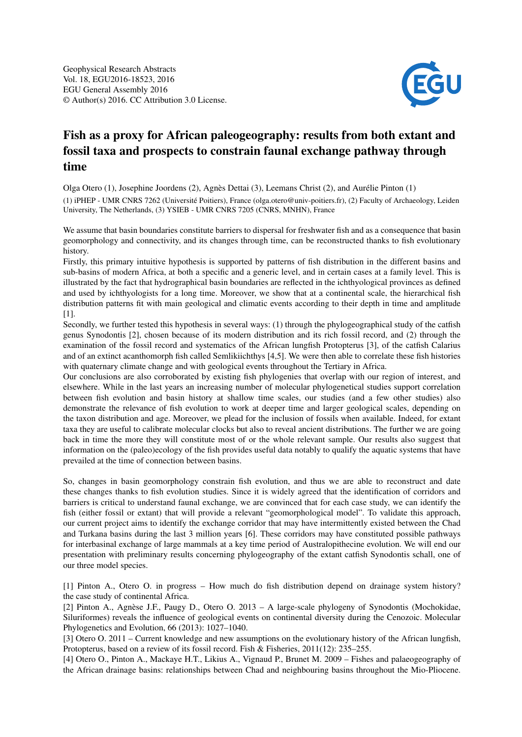

## Fish as a proxy for African paleogeography: results from both extant and fossil taxa and prospects to constrain faunal exchange pathway through time

Olga Otero (1), Josephine Joordens (2), Agnès Dettai (3), Leemans Christ (2), and Aurélie Pinton (1) (1) iPHEP - UMR CNRS 7262 (Université Poitiers), France (olga.otero@univ-poitiers.fr), (2) Faculty of Archaeology, Leiden University, The Netherlands, (3) YSIEB - UMR CNRS 7205 (CNRS, MNHN), France

We assume that basin boundaries constitute barriers to dispersal for freshwater fish and as a consequence that basin geomorphology and connectivity, and its changes through time, can be reconstructed thanks to fish evolutionary history.

Firstly, this primary intuitive hypothesis is supported by patterns of fish distribution in the different basins and sub-basins of modern Africa, at both a specific and a generic level, and in certain cases at a family level. This is illustrated by the fact that hydrographical basin boundaries are reflected in the ichthyological provinces as defined and used by ichthyologists for a long time. Moreover, we show that at a continental scale, the hierarchical fish distribution patterns fit with main geological and climatic events according to their depth in time and amplitude [1].

Secondly, we further tested this hypothesis in several ways: (1) through the phylogeographical study of the catfish genus Synodontis [2], chosen because of its modern distribution and its rich fossil record, and (2) through the examination of the fossil record and systematics of the African lungfish Protopterus [3], of the catfish Calarius and of an extinct acanthomorph fish called Semlikiichthys [4,5]. We were then able to correlate these fish histories with quaternary climate change and with geological events throughout the Tertiary in Africa.

Our conclusions are also corroborated by existing fish phylogenies that overlap with our region of interest, and elsewhere. While in the last years an increasing number of molecular phylogenetical studies support correlation between fish evolution and basin history at shallow time scales, our studies (and a few other studies) also demonstrate the relevance of fish evolution to work at deeper time and larger geological scales, depending on the taxon distribution and age. Moreover, we plead for the inclusion of fossils when available. Indeed, for extant taxa they are useful to calibrate molecular clocks but also to reveal ancient distributions. The further we are going back in time the more they will constitute most of or the whole relevant sample. Our results also suggest that information on the (paleo)ecology of the fish provides useful data notably to qualify the aquatic systems that have prevailed at the time of connection between basins.

So, changes in basin geomorphology constrain fish evolution, and thus we are able to reconstruct and date these changes thanks to fish evolution studies. Since it is widely agreed that the identification of corridors and barriers is critical to understand faunal exchange, we are convinced that for each case study, we can identify the fish (either fossil or extant) that will provide a relevant "geomorphological model". To validate this approach, our current project aims to identify the exchange corridor that may have intermittently existed between the Chad and Turkana basins during the last 3 million years [6]. These corridors may have constituted possible pathways for interbasinal exchange of large mammals at a key time period of Australopithecine evolution. We will end our presentation with preliminary results concerning phylogeography of the extant catfish Synodontis schall, one of our three model species.

[1] Pinton A., Otero O. in progress – How much do fish distribution depend on drainage system history? the case study of continental Africa.

[2] Pinton A., Agnèse J.F., Paugy D., Otero O. 2013 – A large-scale phylogeny of Synodontis (Mochokidae, Siluriformes) reveals the influence of geological events on continental diversity during the Cenozoic. Molecular Phylogenetics and Evolution, 66 (2013): 1027–1040.

[3] Otero O. 2011 – Current knowledge and new assumptions on the evolutionary history of the African lungfish, Protopterus, based on a review of its fossil record. Fish & Fisheries, 2011(12): 235–255.

[4] Otero O., Pinton A., Mackaye H.T., Likius A., Vignaud P., Brunet M. 2009 – Fishes and palaeogeography of the African drainage basins: relationships between Chad and neighbouring basins throughout the Mio-Pliocene.